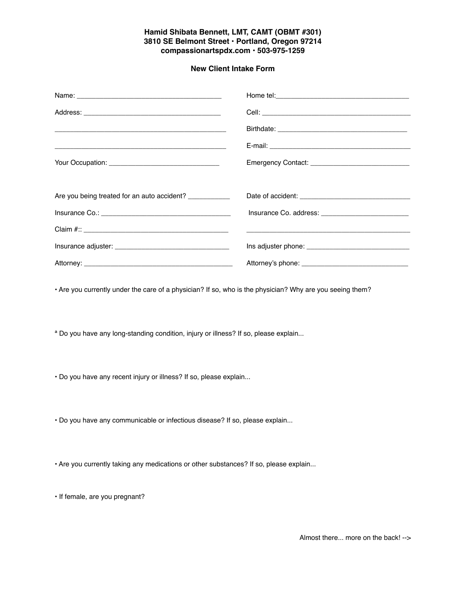## **Hamid Shibata Bennett, LMT, CAMT (OBMT #301) 3810 SE Belmont Street • Portland, Oregon 97214 compassionartspdx.com • 503-975-1259**

## **New Client Intake Form**

|                                                          | Emergency Contact: Emergency Contact: |
|----------------------------------------------------------|---------------------------------------|
|                                                          |                                       |
| Are you being treated for an auto accident? ____________ |                                       |
|                                                          |                                       |
|                                                          |                                       |
|                                                          |                                       |
|                                                          |                                       |

• Are you currently under the care of a physician? If so, who is the physician? Why are you seeing them?

ª Do you have any long-standing condition, injury or illness? If so, please explain...

• Do you have any recent injury or illness? If so, please explain...

• Do you have any communicable or infectious disease? If so, please explain...

• Are you currently taking any medications or other substances? If so, please explain...

• If female, are you pregnant?

Almost there... more on the back! -->